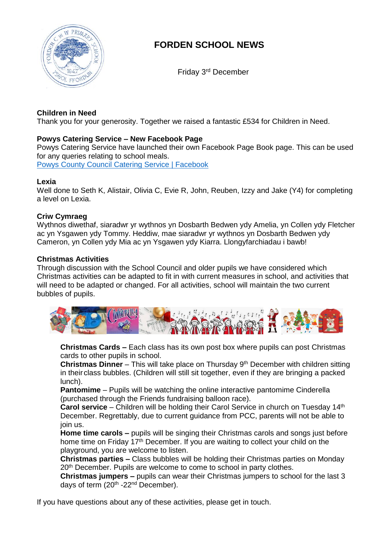

# **FORDEN SCHOOL NEWS**

Friday 3 rd December

# **Children in Need**

Thank you for your generosity. Together we raised a fantastic £534 for Children in Need.

# **Powys Catering Service – New Facebook Page**

Powys Catering Service have launched their own Facebook Page Book page. This can be used for any queries relating to school meals. Powys County Council Catering Service | [Facebook](https://eur02.safelinks.protection.outlook.com/?url=https%3A%2F%2Fwww.facebook.com%2FPowys-County-Council-Catering-Service-101871165664160&data=04%7C01%7Coffice%40forden.powys.sch.uk%7C0c0989c41d354af61dd408d9b5b63258%7C4f3f0e52b734416494091b601d147993%7C0%7C0%7C637740616393392629%7CUnknown%7CTWFpbGZsb3d8eyJWIjoiMC4wLjAwMDAiLCJQIjoiV2luMzIiLCJBTiI6Ik1haWwiLCJXVCI6Mn0%3D%7C3000&sdata=a3V9f4IE9QXEeQ8p1tL1g%2F9qzlCZpcysfX7RPSRRkcg%3D&reserved=0)

**Lexia**

Well done to Seth K, Alistair, Olivia C, Evie R, John, Reuben, Izzy and Jake (Y4) for completing a level on Lexia.

# **Criw Cymraeg**

Wythnos diwethaf, siaradwr yr wythnos yn Dosbarth Bedwen ydy Amelia, yn Collen ydy Fletcher ac yn Ysgawen ydy Tommy. Heddiw, mae siaradwr yr wythnos yn Dosbarth Bedwen ydy Cameron, yn Collen ydy Mia ac yn Ysgawen ydy Kiarra. Llongyfarchiadau i bawb!

#### **Christmas Activities**

Through discussion with the School Council and older pupils we have considered which Christmas activities can be adapted to fit in with current measures in school, and activities that will need to be adapted or changed. For all activities, school will maintain the two current bubbles of pupils.



**Christmas Cards –** Each class has its own post box where pupils can post Christmas cards to other pupils in school.

**Christmas Dinner** – This will take place on Thursday 9<sup>th</sup> December with children sitting in their class bubbles. (Children will still sit together, even if they are bringing a packed lunch).

**Pantomime** – Pupils will be watching the online interactive pantomime Cinderella (purchased through the Friends fundraising balloon race).

**Carol service** – Children will be holding their Carol Service in church on Tuesday 14th December. Regrettably, due to current guidance from PCC, parents will not be able to join us.

**Home time carols –** pupils will be singing their Christmas carols and songs just before home time on Friday 17<sup>th</sup> December. If you are waiting to collect your child on the playground, you are welcome to listen.

**Christmas parties –** Class bubbles will be holding their Christmas parties on Monday 20<sup>th</sup> December. Pupils are welcome to come to school in party clothes.

**Christmas jumpers –** pupils can wear their Christmas jumpers to school for the last 3 days of term (20<sup>th</sup> -22<sup>nd</sup> December).

If you have questions about any of these activities, please get in touch.